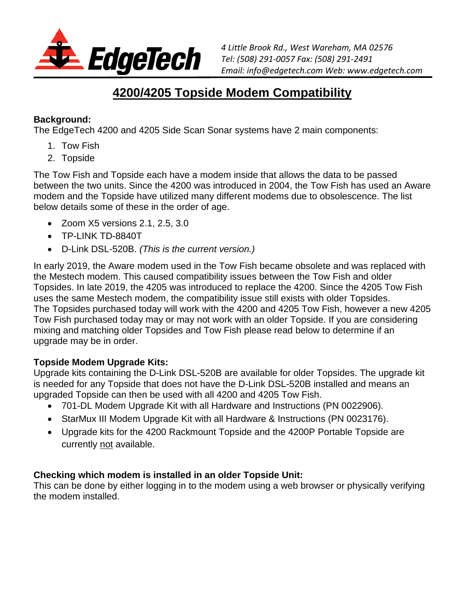

## **4200/4205 Topside Modem Compatibility**

## **Background:**

The EdgeTech 4200 and 4205 Side Scan Sonar systems have 2 main components:

- 1. Tow Fish
- 2. Topside

The Tow Fish and Topside each have a modem inside that allows the data to be passed between the two units. Since the 4200 was introduced in 2004, the Tow Fish has used an Aware modem and the Topside have utilized many different modems due to obsolescence. The list below details some of these in the order of age.

- Zoom X5 versions 2.1, 2.5, 3.0
- TP-LINK TD-8840T
- D-Link DSL-520B. *(This is the current version.)*

In early 2019, the Aware modem used in the Tow Fish became obsolete and was replaced with the Mestech modem. This caused compatibility issues between the Tow Fish and older Topsides. In late 2019, the 4205 was introduced to replace the 4200. Since the 4205 Tow Fish uses the same Mestech modem, the compatibility issue still exists with older Topsides. The Topsides purchased today will work with the 4200 and 4205 Tow Fish, however a new 4205 Tow Fish purchased today may or may not work with an older Topside. If you are considering mixing and matching older Topsides and Tow Fish please read below to determine if an upgrade may be in order.

## **Topside Modem Upgrade Kits:**

Upgrade kits containing the D-Link DSL-520B are available for older Topsides. The upgrade kit is needed for any Topside that does not have the D-Link DSL-520B installed and means an upgraded Topside can then be used with all 4200 and 4205 Tow Fish.

- 701-DL Modem Upgrade Kit with all Hardware and Instructions (PN 0022906).
- StarMux III Modem Upgrade Kit with all Hardware & Instructions (PN 0023176).
- Upgrade kits for the 4200 Rackmount Topside and the 4200P Portable Topside are currently not available.

## **Checking which modem is installed in an older Topside Unit:**

This can be done by either logging in to the modem using a web browser or physically verifying the modem installed.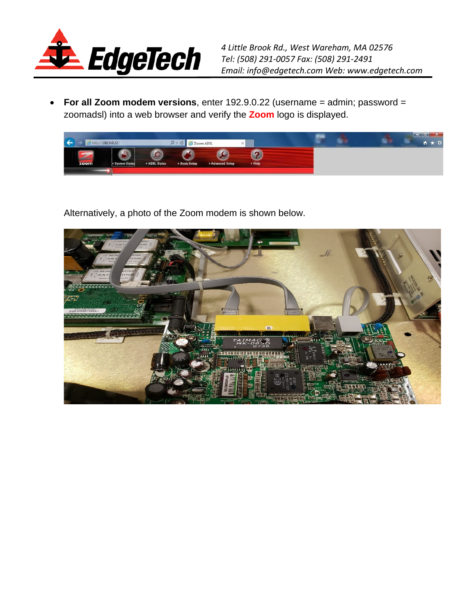

• **For all Zoom modem versions**, enter 192.9.0.22 (username = admin; password = zoomadsl) into a web browser and verify the **Zoom** logo is displayed.



Alternatively, a photo of the Zoom modem is shown below.

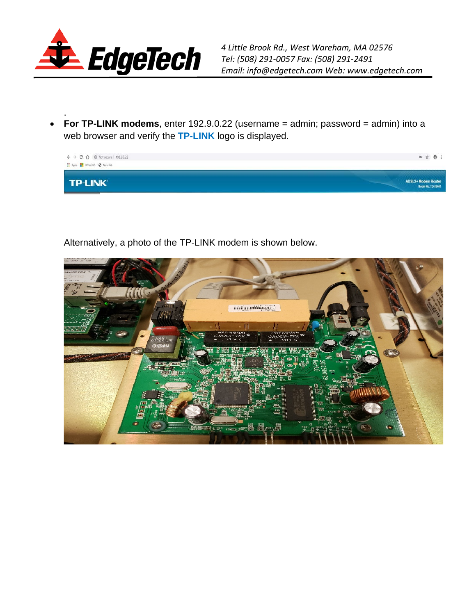![](_page_2_Picture_0.jpeg)

. • **For TP-LINK modems**, enter 192.9.0.22 (username = admin; password = admin) into a web browser and verify the **TP-LINK** logo is displayed.

![](_page_2_Picture_3.jpeg)

Alternatively, a photo of the TP-LINK modem is shown below.

![](_page_2_Picture_5.jpeg)